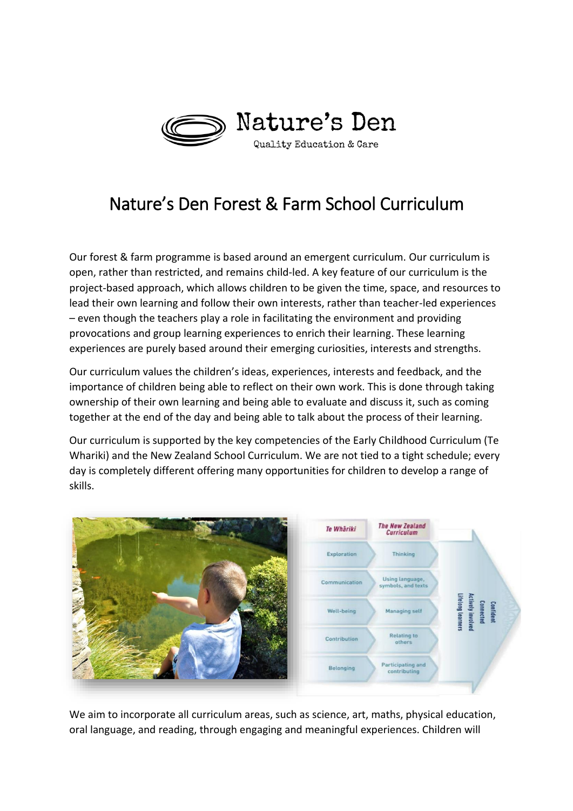

## Nature's Den Forest & Farm School Curriculum

Our forest & farm programme is based around an emergent curriculum. Our curriculum is open, rather than restricted, and remains child-led. A key feature of our curriculum is the project-based approach, which allows children to be given the time, space, and resources to lead their own learning and follow their own interests, rather than teacher-led experiences – even though the teachers play a role in facilitating the environment and providing provocations and group learning experiences to enrich their learning. These learning experiences are purely based around their emerging curiosities, interests and strengths.

Our curriculum values the children's ideas, experiences, interests and feedback, and the importance of children being able to reflect on their own work. This is done through taking ownership of their own learning and being able to evaluate and discuss it, such as coming together at the end of the day and being able to talk about the process of their learning.

Our curriculum is supported by the key competencies of the Early Childhood Curriculum (Te Whariki) and the New Zealand School Curriculum. We are not tied to a tight schedule; every day is completely different offering many opportunities for children to develop a range of skills.



We aim to incorporate all curriculum areas, such as science, art, maths, physical education, oral language, and reading, through engaging and meaningful experiences. Children will